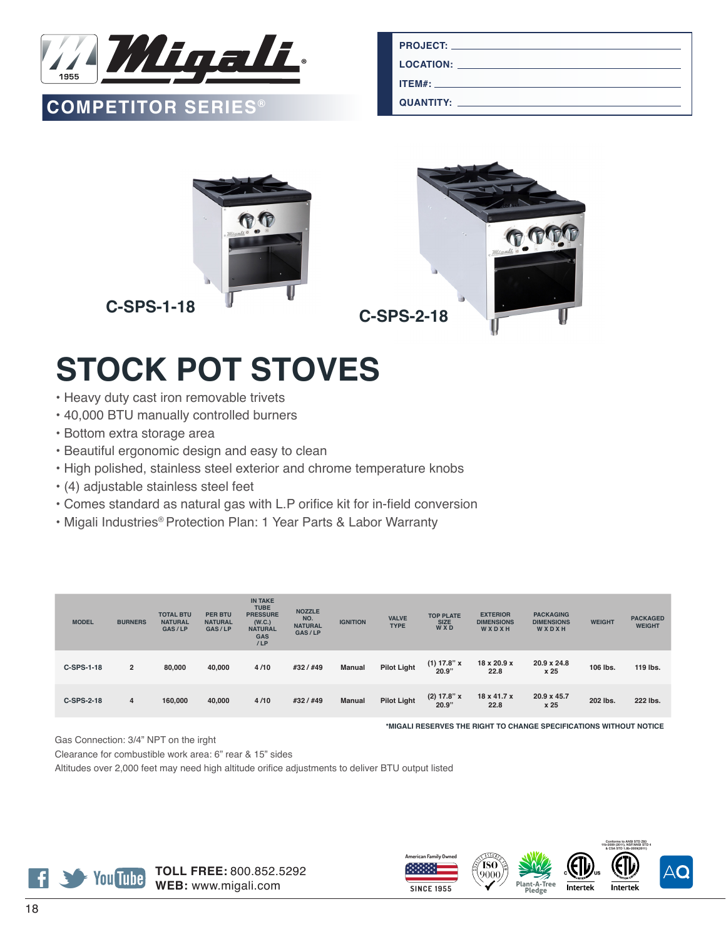

## **QUANTITY: COMPETITOR SERIES®**

| LOCATION: <b>All and the Contract of Contract Contract of Contract Contract Contract Contract Contract Contract Contract Contract Contract Contract Contract Contract Contract Contract Contract Contract Contract Contract Cont</b> |
|--------------------------------------------------------------------------------------------------------------------------------------------------------------------------------------------------------------------------------------|
| $ITEM#$ :                                                                                                                                                                                                                            |
| <u>QUANTITY: ___________________________________</u>                                                                                                                                                                                 |



## **STOCK POT STOVES**

- Heavy duty cast iron removable trivets
- 40,000 BTU manually controlled burners
- Bottom extra storage area
- Beautiful ergonomic design and easy to clean
- High polished, stainless steel exterior and chrome temperature knobs
- (4) adjustable stainless steel feet
- Comes standard as natural gas with L.P orifice kit for in-field conversion
- Migali Industries® Protection Plan: 1 Year Parts & Labor Warranty

| <b>MODEL</b> | <b>BURNERS</b> | <b>TOTAL BTU</b><br><b>NATURAL</b><br>GAS/LP | <b>PER BTU</b><br><b>NATURAL</b><br>GAS/LP | <b>IN TAKE</b><br><b>TUBE</b><br><b>PRESSURE</b><br>(W.C.)<br><b>NATURAL</b><br><b>GAS</b><br>/LP | <b>NOZZLE</b><br>NO.<br><b>NATURAL</b><br>GAS/LP | <b>IGNITION</b> | <b>VALVE</b><br><b>TYPE</b> | <b>TOP PLATE</b><br><b>SIZE</b><br><b>WXD</b> | <b>EXTERIOR</b><br><b>DIMENSIONS</b><br>WXDXH | <b>PACKAGING</b><br><b>DIMENSIONS</b><br>WXDXH | <b>WEIGHT</b> | <b>PACKAGED</b><br><b>WEIGHT</b> |
|--------------|----------------|----------------------------------------------|--------------------------------------------|---------------------------------------------------------------------------------------------------|--------------------------------------------------|-----------------|-----------------------------|-----------------------------------------------|-----------------------------------------------|------------------------------------------------|---------------|----------------------------------|
| C-SPS-1-18   | $\overline{2}$ | 80,000                                       | 40.000                                     | 4/10                                                                                              | #32 / #49                                        | Manual          | <b>Pilot Light</b>          | $(1)$ 17.8" x<br>20.9"                        | $18 \times 20.9 \times$<br>22.8               | 20.9 x 24.8<br>x 25                            | 106 lbs.      | 119 lbs.                         |
| C-SPS-2-18   | $\overline{4}$ | 160,000                                      | 40,000                                     | 4/10                                                                                              | #32 / #49                                        | <b>Manual</b>   | <b>Pilot Light</b>          | (2) 17.8" x<br>20.9"                          | 18 x 41.7 x<br>22.8                           | 20.9 x 45.7<br>x 25                            | 202 lbs.      | 222 lbs.                         |

**\*MIGALI RESERVES THE RIGHT TO CHANGE SPECIFICATIONS WITHOUT NOTICE**

Gas Connection: 3/4" NPT on the irght

Clearance for combustible work area: 6" rear & 15" sides

Altitudes over 2,000 feet may need high altitude orifice adjustments to deliver BTU output listed











**Conforms to ANSI STD Z83**